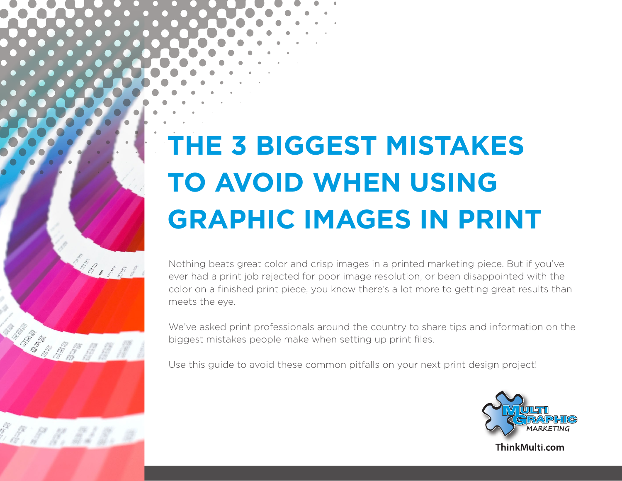# **THE 3 BIGGEST MISTAKES TO AVOID WHEN USING GRAPHIC IMAGES IN PRINT**

200000

HAR OF BIBLE

A. H. H. B. B. B.

Nothing beats great color and crisp images in a printed marketing piece. But if you've ever had a print job rejected for poor image resolution, or been disappointed with the color on a finished print piece, you know there's a lot more to getting great results than meets the eye.

We've asked print professionals around the country to share tips and information on the biggest mistakes people make when setting up print files.

Use this guide to avoid these common pitfalls on your next print design project!



ThinkMulti.com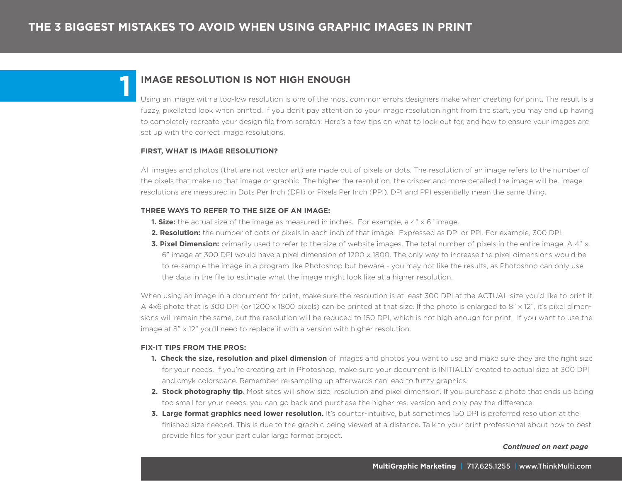## **IMAGE RESOLUTION IS NOT HIGH ENOUGH**

Using an image with a too-low resolution is one of the most common errors designers make when creating for print. The result is a fuzzy, pixellated look when printed. If you don't pay attention to your image resolution right from the start, you may end up having to completely recreate your design file from scratch. Here's a few tips on what to look out for, and how to ensure your images are set up with the correct image resolutions.

## **FIRST, WHAT IS IMAGE RESOLUTION?**

**1**

All images and photos (that are not vector art) are made out of pixels or dots. The resolution of an image refers to the number of the pixels that make up that image or graphic. The higher the resolution, the crisper and more detailed the image will be. Image resolutions are measured in Dots Per Inch (DPI) or Pixels Per Inch (PPI). DPI and PPI essentially mean the same thing.

## **THREE WAYS TO REFER TO THE SIZE OF AN IMAGE:**

- **1. Size:** the actual size of the image as measured in inches. For example, a 4" x 6" image.
- **2. Resolution:** the number of dots or pixels in each inch of that image. Expressed as DPI or PPI. For example, 300 DPI.
- **3. Pixel Dimension:** primarily used to refer to the size of website images. The total number of pixels in the entire image. A 4" x 6" image at 300 DPI would have a pixel dimension of 1200 x 1800. The only way to increase the pixel dimensions would be to re-sample the image in a program like Photoshop but beware - you may not like the results, as Photoshop can only use the data in the file to estimate what the image might look like at a higher resolution.

When using an image in a document for print, make sure the resolution is at least 300 DPI at the ACTUAL size you'd like to print it. A 4x6 photo that is 300 DPI (or 1200 x 1800 pixels) can be printed at that size. If the photo is enlarged to 8" x 12", it's pixel dimensions will remain the same, but the resolution will be reduced to 150 DPI, which is not high enough for print. If you want to use the image at 8" x 12" you'll need to replace it with a version with higher resolution.

## **FIX-IT TIPS FROM THE PROS:**

- **1. Check the size, resolution and pixel dimension** of images and photos you want to use and make sure they are the right size for your needs. If you're creating art in Photoshop, make sure your document is INITIALLY created to actual size at 300 DPI and cmyk colorspace. Remember, re-sampling up afterwards can lead to fuzzy graphics.
- **2. Stock photography tip**. Most sites will show size, resolution and pixel dimension. If you purchase a photo that ends up being too small for your needs, you can go back and purchase the higher res. version and only pay the difference.
- **3. Large format graphics need lower resolution.** It's counter-intuitive, but sometimes 150 DPI is preferred resolution at the finished size needed. This is due to the graphic being viewed at a distance. Talk to your print professional about how to best provide files for your particular large format project.

#### *Continued on next page*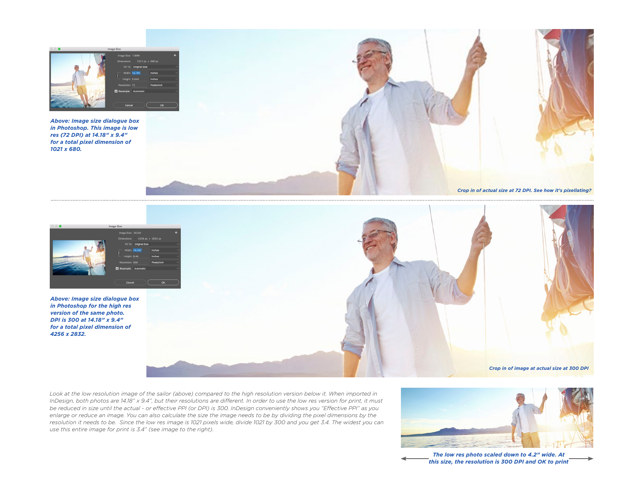

*Above: Image size dialogue box in Photoshop. This image is low res (72 DPI) at 14.18" x 9.4" for a total pixel dimension of 1021 x 680.*





*Above: Image size dialogue box in Photoshop for the high res version of the same photo. DPI is 300 at 14.18" x 9.4" for a total pixel dimension of 4256 x 2832.*



Look at the low resolution image of the sailor (above) compared to the high resolution version below it. When imported in *InDesign, both photos are 14.18" x 9.4", but their resolutions are different. In order to use the low res version for print, it must be reduced in size until the actual - or effective PPI (or DPI) is 300. InDesign conveniently shows you "Effective PPI" as you enlarge or reduce an image. You can also calculate the size the image needs to be by dividing the pixel dimensions by the resolution it needs to be. Since the low res image is 1021 pixels wide, divide 1021 by 300 and you get 3.4. The widest you can use this entire image for print is 3.4" (see image to the right).*



*The low res photo scaled down to 4.2" wide. At this size, the resolution is 300 DPI and OK to print*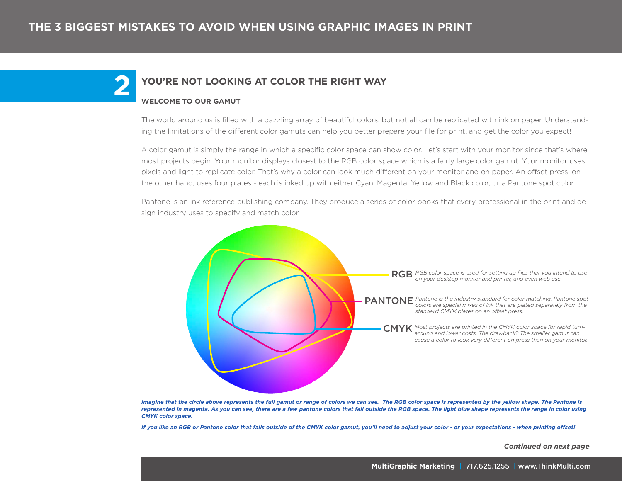## **2 YOU'RE NOT LOOKING AT COLOR THE RIGHT WAY**

## **WELCOME TO OUR GAMUT**

The world around us is filled with a dazzling array of beautiful colors, but not all can be replicated with ink on paper. Understanding the limitations of the different color gamuts can help you better prepare your file for print, and get the color you expect!

A color gamut is simply the range in which a specific color space can show color. Let's start with your monitor since that's where most projects begin. Your monitor displays closest to the RGB color space which is a fairly large color gamut. Your monitor uses pixels and light to replicate color. That's why a color can look much different on your monitor and on paper. An offset press, on the other hand, uses four plates - each is inked up with either Cyan, Magenta, Yellow and Black color, or a Pantone spot color.

Pantone is an ink reference publishing company. They produce a series of color books that every professional in the print and design industry uses to specify and match color.



*Imagine that the circle above represents the full gamut or range of colors we can see. The RGB color space is represented by the yellow shape. The Pantone is represented in magenta. As you can see, there are a few pantone colors that fall outside the RGB space. The light blue shape represents the range in color using CMYK color space.* 

*If you like an RGB or Pantone color that falls outside of the CMYK color gamut, you'll need to adjust your color - or your expectations - when printing offset!* 

 *Continued on next page*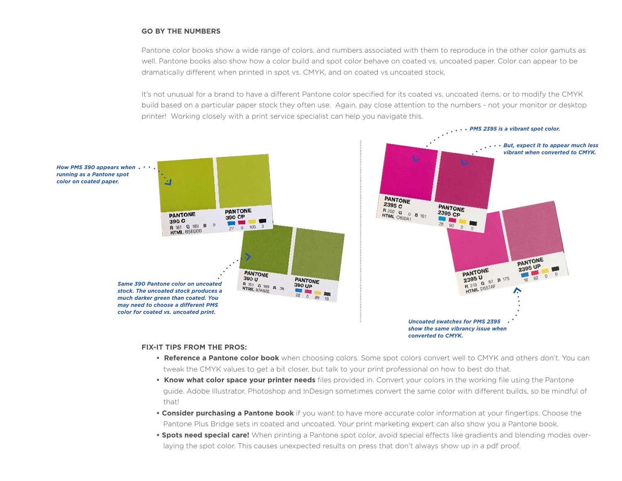## **GO BY THE NUMBERS**

Pantone color books show a wide range of colors, and numbers associated with them to reproduce in the other color gamuts as well. Pantone books also show how a color build and spot color behave on coated vs. uncoated paper. Color can appear to be dramatically different when printed in spot vs. CMYK, and on coated vs uncoated stock.

It's not unusual for a brand to have a different Pantone color specified for its coated vs. uncoated items, or to modify the CMYK build based on a particular paper stock they often use. Again, pay close attention to the numbers - not your monitor or desktop printer! Working closely with a print service specialist can help you navigate this.



#### **FIX-IT TIPS FROM THE PROS:**

- **Reference a Pantone color book** when choosing colors. Some spot colors convert well to CMYK and others don't. You can tweak the CMYK values to get a bit closer, but talk to your print professional on how to best do that.
- **Know what color space your printer needs** files provided in. Convert your colors in the working file using the Pantone guide. Adobe Illustrator, Photoshop and InDesign sometimes convert the same color with different builds, so be mindful of that!
- **Consider purchasing a Pantone book** if you want to have more accurate color information at your fingertips. Choose the Pantone Plus Bridge sets in coated and uncoated. Your print marketing expert can also show you a Pantone book.
- **Spots need special care!** When printing a Pantone spot color, avoid special effects like gradients and blending modes overlaying the spot color. This causes unexpected results on press that don't always show up in a pdf proof.